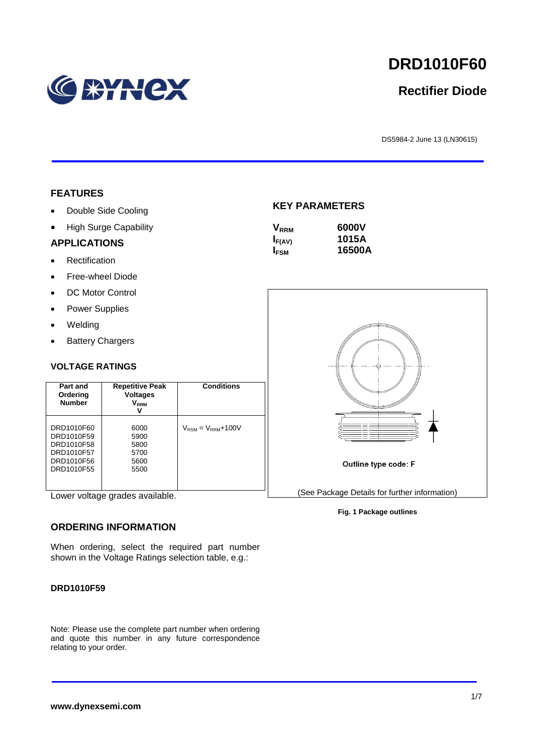

# **DRD1010F60**

## **Rectifier Diode**

DS5984-2 June 13 (LN30615)

#### **FEATURES**

- Double Side Cooling
- High Surge Capability

#### **APPLICATIONS**

- Rectification
- Free-wheel Diode
- DC Motor Control
- Power Supplies
- Welding
- Battery Chargers

#### **VOLTAGE RATINGS**

| Part and<br>Ordering<br><b>Number</b>                                            | <b>Repetitive Peak</b><br><b>Voltages</b><br><b>VRRM</b> | <b>Conditions</b>                        |
|----------------------------------------------------------------------------------|----------------------------------------------------------|------------------------------------------|
| DRD1010F60<br>DRD1010F59<br>DRD1010F58<br>DRD1010F57<br>DRD1010F56<br>DRD1010F55 | 6000<br>5900<br>5800<br>5700<br>5600<br>5500             | $V_{\text{RSM}} = V_{\text{RRM}} + 100V$ |

Lower voltage grades available.

#### **ORDERING INFORMATION**

When ordering, select the required part number shown in the Voltage Ratings selection table, e.g.:

#### **DRD1010F59**

Note: Please use the complete part number when ordering and quote this number in any future correspondence relating to your order.

#### **KEY PARAMETERS**

| $\mathsf{V}_{\mathsf{RRM}}$ | 6000V  |
|-----------------------------|--------|
| $I_{F(AV)}$                 | 1015A  |
| I <sub>FSM</sub>            | 16500A |



**Fig. 1 Package outlines**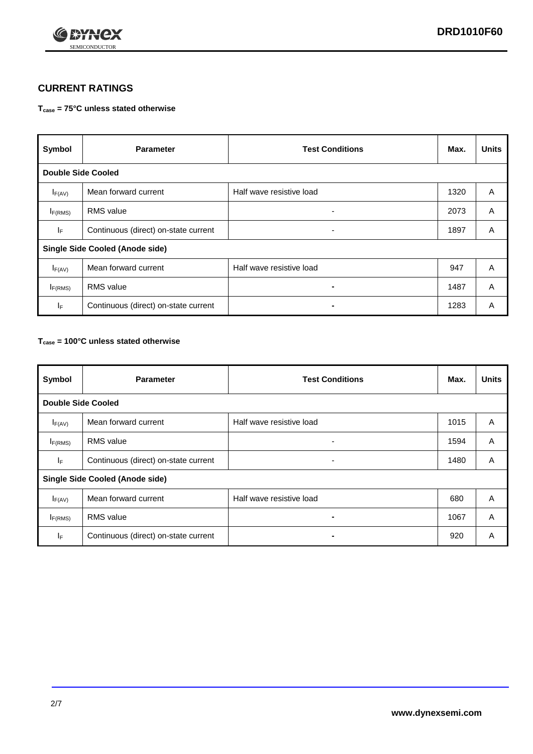

## **CURRENT RATINGS**

#### **Tcase = 75°C unless stated otherwise**

| Symbol                                 | <b>Parameter</b>                     | <b>Test Conditions</b>   | Max. | <b>Units</b> |  |
|----------------------------------------|--------------------------------------|--------------------------|------|--------------|--|
| <b>Double Side Cooled</b>              |                                      |                          |      |              |  |
| $I_{F(AV)}$                            | Mean forward current                 | Half wave resistive load | 1320 | A            |  |
| $I_{F(RMS)}$                           | <b>RMS</b> value                     | ٠                        | 2073 | A            |  |
| IF.                                    | Continuous (direct) on-state current | ۰                        | 1897 | A            |  |
| <b>Single Side Cooled (Anode side)</b> |                                      |                          |      |              |  |
| $I_{F(AV)}$                            | Mean forward current                 | Half wave resistive load | 947  | A            |  |
| I <sub>F(RMS)</sub>                    | <b>RMS</b> value                     | -                        | 1487 | A            |  |
| IF.                                    | Continuous (direct) on-state current |                          | 1283 | A            |  |

#### **Tcase = 100°C unless stated otherwise**

| Symbol                                 | <b>Parameter</b>                     | <b>Test Conditions</b>   | Max. | <b>Units</b> |  |
|----------------------------------------|--------------------------------------|--------------------------|------|--------------|--|
| <b>Double Side Cooled</b>              |                                      |                          |      |              |  |
| $I_{F(AV)}$                            | Mean forward current                 | Half wave resistive load | 1015 | A            |  |
| $I_{F(RMS)}$                           | <b>RMS</b> value                     | ٠                        | 1594 | A            |  |
| IF                                     | Continuous (direct) on-state current | ٠                        | 1480 | A            |  |
| <b>Single Side Cooled (Anode side)</b> |                                      |                          |      |              |  |
| $I_{F(AV)}$                            | Mean forward current                 | Half wave resistive load | 680  | A            |  |
| $I_{F(RMS)}$                           | <b>RMS</b> value                     |                          | 1067 | A            |  |
| IF.                                    | Continuous (direct) on-state current | $\blacksquare$           | 920  | A            |  |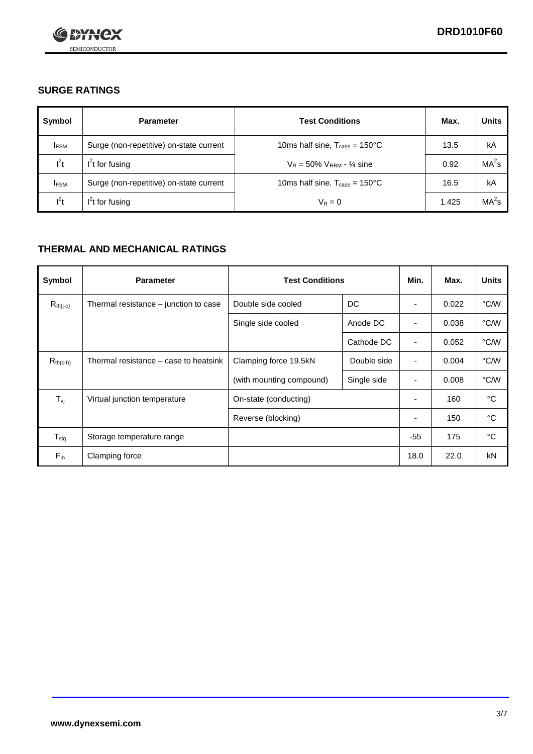

## **SURGE RATINGS**

| Symbol      | <b>Parameter</b>                        | <b>Test Conditions</b>                            | Max.  | <b>Units</b>      |
|-------------|-----------------------------------------|---------------------------------------------------|-------|-------------------|
| <b>IFSM</b> | Surge (non-repetitive) on-state current | 10ms half sine, $T_{\text{case}} = 150^{\circ}$ C | 13.5  | kA                |
| $l^2t$      | $I2t$ for fusing                        | $V_R = 50\% V_{RRM} - \frac{1}{4}$ sine           | 0.92  | MA <sup>2</sup> s |
| <b>IFSM</b> | Surge (non-repetitive) on-state current | 10ms half sine, $T_{\text{case}} = 150^{\circ}$ C | 16.5  | kA                |
| $l^2t$      | $I2t$ for fusing                        | $V_R = 0$                                         | 1.425 | MA <sup>2</sup> s |

## **THERMAL AND MECHANICAL RATINGS**

| Symbol            | <b>Parameter</b>                      | <b>Test Conditions</b>   |             | Min.                     | Max.  | <b>Units</b> |
|-------------------|---------------------------------------|--------------------------|-------------|--------------------------|-------|--------------|
| $R_{th(j-c)}$     | Thermal resistance – junction to case | Double side cooled       | DC          | ٠                        | 0.022 | °C/W         |
|                   |                                       | Single side cooled       | Anode DC    | $\overline{\phantom{a}}$ | 0.038 | °C/W         |
|                   |                                       |                          | Cathode DC  | ٠                        | 0.052 | °C/W         |
| $R_{th(c-h)}$     | Thermal resistance – case to heatsink | Clamping force 19.5kN    | Double side | ٠                        | 0.004 | °C/W         |
|                   |                                       | (with mounting compound) | Single side | ٠                        | 0.008 | °C/W         |
| $T_{\mathsf{vj}}$ | Virtual junction temperature          | On-state (conducting)    |             | $\overline{\phantom{a}}$ | 160   | °C           |
|                   |                                       | Reverse (blocking)       |             | ٠                        | 150   | °C           |
| $T_{\text{stg}}$  | Storage temperature range             |                          |             | $-55$                    | 175   | °C           |
| $F_m$             | Clamping force                        |                          |             | 18.0                     | 22.0  | kN           |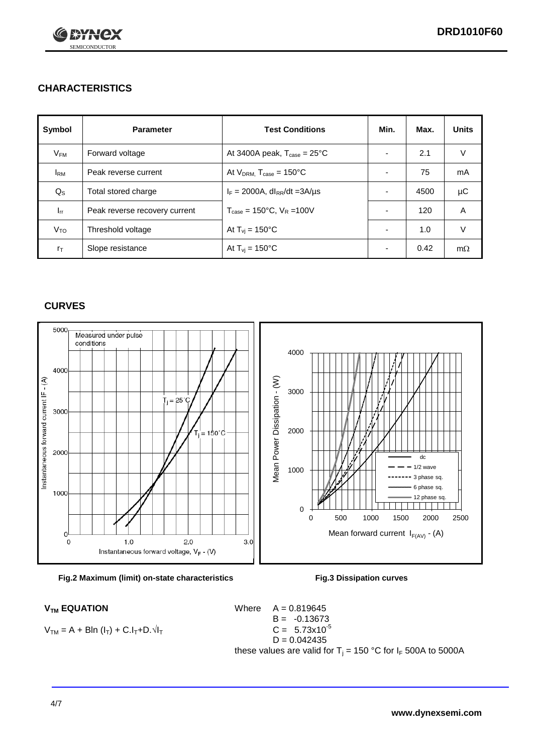

## **CHARACTERISTICS**

| Symbol            | <b>Parameter</b>              | <b>Test Conditions</b>                          | Min.                     | Max. | <b>Units</b> |
|-------------------|-------------------------------|-------------------------------------------------|--------------------------|------|--------------|
| $V_{\mathsf{FM}}$ | Forward voltage               | At 3400A peak, $T_{\text{case}} = 25^{\circ}C$  | $\overline{\phantom{0}}$ | 2.1  | $\vee$       |
| $I_{\rm RM}$      | Peak reverse current          | At $V_{DRM}$ , $T_{case} = 150^{\circ}$ C       | $\overline{\phantom{0}}$ | 75   | mA           |
| $Q_{\rm S}$       | Total stored charge           | $I_F = 2000A$ , dl <sub>RR</sub> /dt = 3A/µs    |                          | 4500 | μC           |
| $I_{rr}$          | Peak reverse recovery current | $T_{\text{case}} = 150^{\circ}$ C, $V_R = 100V$ | $\overline{\phantom{0}}$ | 120  | A            |
| V <sub>TO</sub>   | Threshold voltage             | At $T_{\rm{vj}} = 150^{\circ}$ C                | $\overline{\phantom{0}}$ | 1.0  | $\vee$       |
| $r_{\text{T}}$    | Slope resistance              | At $T_{\rm{vj}} = 150^{\circ}$ C                | ٠                        | 0.42 | $m\Omega$    |

#### **CURVES**





$$
V_{TM} = A + B\ln (I_T) + C.I_T + D.\sqrt{I_T}
$$

 $V_{TM}$  **EQUATION** Where  $A = 0.819645$  $B = -0.13673$  $C = 5.73x10^{-5}$  $D = 0.042435$ these values are valid for  $T_j = 150$  °C for  $I_F$  500A to 5000A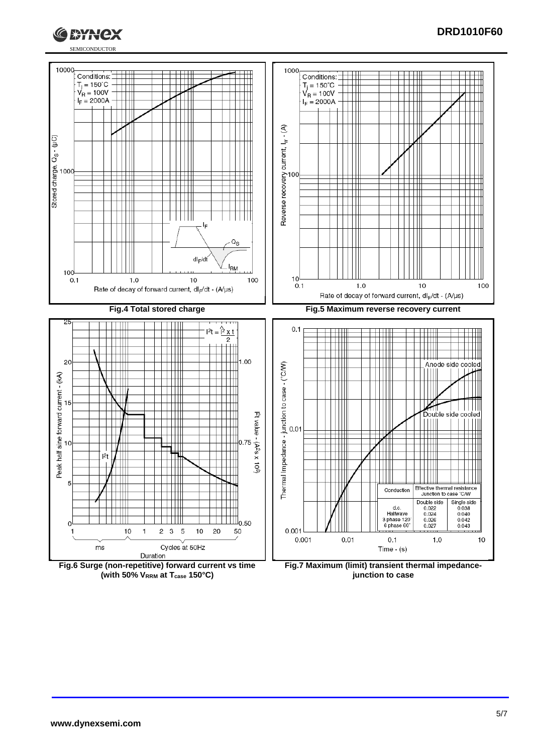

#### **DRD1010F60**



**(with 50% VRRM at Tcase 150°C)**

**Fig.7 Maximum (limit) transient thermal impedancejunction to case**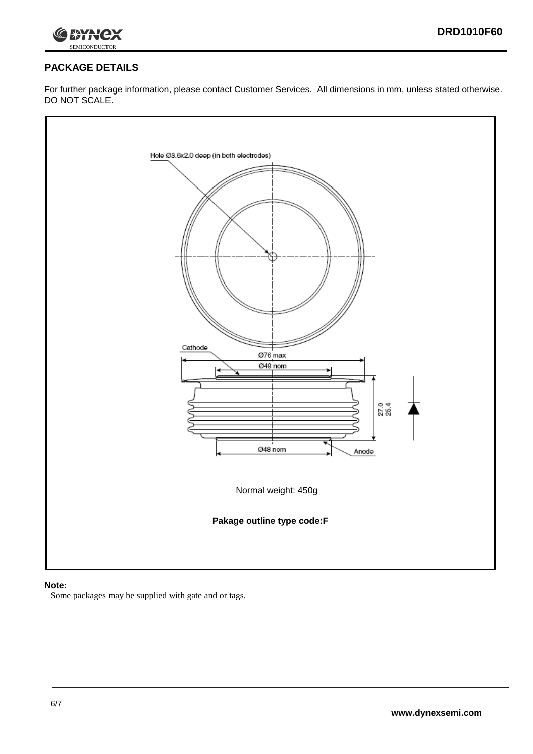



## **PACKAGE DETAILS**

For further package information, please contact Customer Services. All dimensions in mm, unless stated otherwise. DO NOT SCALE.



#### **Note:**

Some packages may be supplied with gate and or tags.